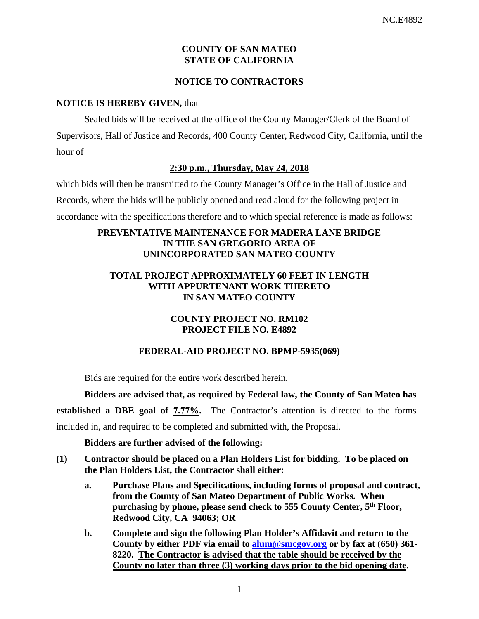## **COUNTY OF SAN MATEO STATE OF CALIFORNIA**

### **NOTICE TO CONTRACTORS**

#### **NOTICE IS HEREBY GIVEN,** that

Sealed bids will be received at the office of the County Manager/Clerk of the Board of Supervisors, Hall of Justice and Records, 400 County Center, Redwood City, California, until the hour of

## **2:30 p.m., Thursday, May 24, 2018**

which bids will then be transmitted to the County Manager's Office in the Hall of Justice and Records, where the bids will be publicly opened and read aloud for the following project in accordance with the specifications therefore and to which special reference is made as follows:

# **PREVENTATIVE MAINTENANCE FOR MADERA LANE BRIDGE IN THE SAN GREGORIO AREA OF UNINCORPORATED SAN MATEO COUNTY**

# **TOTAL PROJECT APPROXIMATELY 60 FEET IN LENGTH WITH APPURTENANT WORK THERETO IN SAN MATEO COUNTY**

# **COUNTY PROJECT NO. RM102 PROJECT FILE NO. E4892**

# **FEDERAL-AID PROJECT NO. BPMP-5935(069)**

Bids are required for the entire work described herein.

**Bidders are advised that, as required by Federal law, the County of San Mateo has** 

**established a DBE goal of 7.77%.** The Contractor's attention is directed to the forms

included in, and required to be completed and submitted with, the Proposal.

### **Bidders are further advised of the following:**

- **(1) Contractor should be placed on a Plan Holders List for bidding. To be placed on the Plan Holders List, the Contractor shall either:** 
	- **a. Purchase Plans and Specifications, including forms of proposal and contract, from the County of San Mateo Department of Public Works. When purchasing by phone, please send check to 555 County Center, 5th Floor, Redwood City, CA 94063; OR**
	- **b. Complete and sign the following Plan Holder's Affidavit and return to the County by either PDF via email to alum@smcgov.org or by fax at (650) 361- 8220. The Contractor is advised that the table should be received by the County no later than three (3) working days prior to the bid opening date.**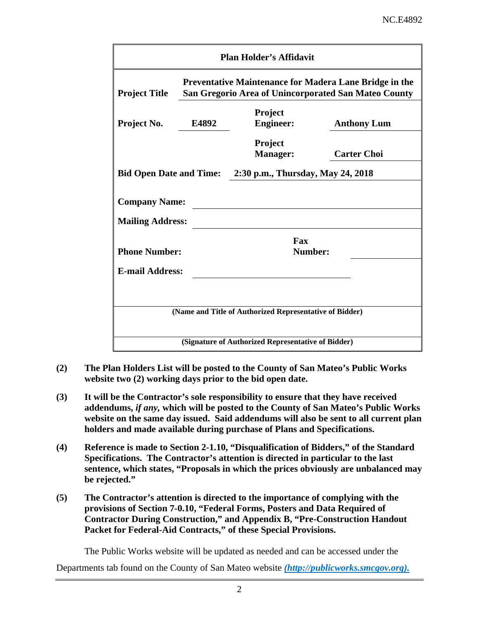| <b>Plan Holder's Affidavit</b> |                                                                                                                       |                                                         |                    |  |  |  |  |
|--------------------------------|-----------------------------------------------------------------------------------------------------------------------|---------------------------------------------------------|--------------------|--|--|--|--|
| <b>Project Title</b>           | <b>Preventative Maintenance for Madera Lane Bridge in the</b><br>San Gregorio Area of Unincorporated San Mateo County |                                                         |                    |  |  |  |  |
| Project No.                    | E4892                                                                                                                 | Project<br><b>Engineer:</b>                             | <b>Anthony Lum</b> |  |  |  |  |
|                                |                                                                                                                       | <b>Project</b><br><b>Manager:</b>                       | <b>Carter Choi</b> |  |  |  |  |
| <b>Bid Open Date and Time:</b> |                                                                                                                       | 2:30 p.m., Thursday, May 24, 2018                       |                    |  |  |  |  |
| <b>Company Name:</b>           |                                                                                                                       |                                                         |                    |  |  |  |  |
| <b>Mailing Address:</b>        |                                                                                                                       |                                                         |                    |  |  |  |  |
| <b>Phone Number:</b>           |                                                                                                                       | Fax<br>Number:                                          |                    |  |  |  |  |
| <b>E-mail Address:</b>         |                                                                                                                       |                                                         |                    |  |  |  |  |
|                                |                                                                                                                       |                                                         |                    |  |  |  |  |
|                                |                                                                                                                       | (Name and Title of Authorized Representative of Bidder) |                    |  |  |  |  |
|                                |                                                                                                                       | (Signature of Authorized Representative of Bidder)      |                    |  |  |  |  |

- **(2) The Plan Holders List will be posted to the County of San Mateo's Public Works website two (2) working days prior to the bid open date.**
- **(3) It will be the Contractor's sole responsibility to ensure that they have received addendums,** *if any,* **which will be posted to the County of San Mateo's Public Works website on the same day issued. Said addendums will also be sent to all current plan holders and made available during purchase of Plans and Specifications.**
- **(4) Reference is made to Section 2-1.10, "Disqualification of Bidders," of the Standard Specifications. The Contractor's attention is directed in particular to the last sentence, which states, "Proposals in which the prices obviously are unbalanced may be rejected."**
- **(5) The Contractor's attention is directed to the importance of complying with the provisions of Section 7-0.10, "Federal Forms, Posters and Data Required of Contractor During Construction," and Appendix B, "Pre-Construction Handout Packet for Federal-Aid Contracts," of these Special Provisions.**

The Public Works website will be updated as needed and can be accessed under the

Departments tab found on the County of San Mateo website *(http://publicworks.smcgov.org).*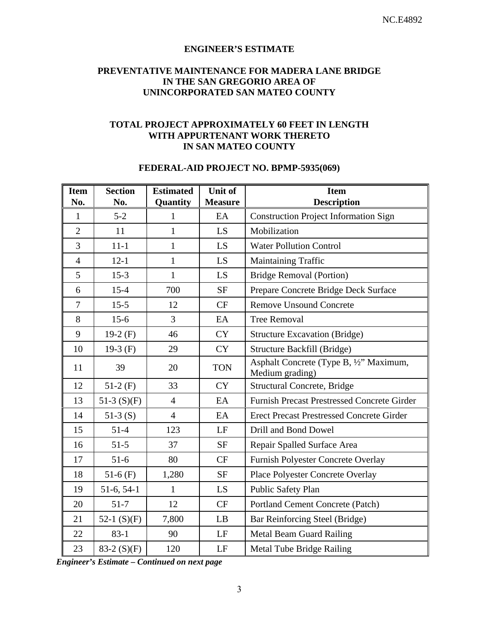#### **ENGINEER'S ESTIMATE**

#### **PREVENTATIVE MAINTENANCE FOR MADERA LANE BRIDGE IN THE SAN GREGORIO AREA OF UNINCORPORATED SAN MATEO COUNTY**

#### **TOTAL PROJECT APPROXIMATELY 60 FEET IN LENGTH WITH APPURTENANT WORK THERETO IN SAN MATEO COUNTY**

#### **FEDERAL-AID PROJECT NO. BPMP-5935(069)**

| <b>Item</b><br>No. | <b>Section</b><br>No. | <b>Estimated</b><br>Quantity | <b>Unit of</b><br><b>Measure</b> | <b>Item</b><br><b>Description</b>                          |
|--------------------|-----------------------|------------------------------|----------------------------------|------------------------------------------------------------|
| $\mathbf{1}$       | $5 - 2$               | $\mathbf{1}$                 | EA                               | <b>Construction Project Information Sign</b>               |
| $\overline{2}$     | 11                    | 1                            | LS.                              | Mobilization                                               |
| 3                  | $11 - 1$              | $\mathbf{1}$                 | LS.                              | <b>Water Pollution Control</b>                             |
| $\overline{4}$     | $12 - 1$              | $\mathbf{1}$                 | LS.                              | <b>Maintaining Traffic</b>                                 |
| 5                  | $15-3$                | $\mathbf{1}$                 | LS                               | <b>Bridge Removal (Portion)</b>                            |
| 6                  | $15 - 4$              | 700                          | <b>SF</b>                        | Prepare Concrete Bridge Deck Surface                       |
| $\overline{7}$     | $15 - 5$              | 12                           | CF                               | <b>Remove Unsound Concrete</b>                             |
| 8                  | $15-6$                | $\overline{3}$               | EA                               | <b>Tree Removal</b>                                        |
| 9                  | 19-2 $(F)$            | 46                           | <b>CY</b>                        | <b>Structure Excavation (Bridge)</b>                       |
| 10                 | 19-3 $(F)$            | 29                           | <b>CY</b>                        | Structure Backfill (Bridge)                                |
| 11                 | 39                    | 20                           | <b>TON</b>                       | Asphalt Concrete (Type B, 1/2" Maximum,<br>Medium grading) |
| 12                 | $51-2(F)$             | 33                           | <b>CY</b>                        | <b>Structural Concrete, Bridge</b>                         |
| 13                 | 51-3 $(S)(F)$         | $\overline{4}$               | EA                               | <b>Furnish Precast Prestressed Concrete Girder</b>         |
| 14                 | $51-3(S)$             | $\overline{4}$               | EA                               | <b>Erect Precast Prestressed Concrete Girder</b>           |
| 15                 | $51-4$                | 123                          | LF                               | Drill and Bond Dowel                                       |
| 16                 | $51-5$                | 37                           | <b>SF</b>                        | Repair Spalled Surface Area                                |
| 17                 | $51-6$                | 80                           | CF                               | Furnish Polyester Concrete Overlay                         |
| 18                 | $51-6$ (F)            | 1,280                        | <b>SF</b>                        | Place Polyester Concrete Overlay                           |
| 19                 | $51-6, 54-1$          | $\mathbf{1}$                 | LS                               | Public Safety Plan                                         |
| 20                 | $51 - 7$              | 12                           | CF                               | Portland Cement Concrete (Patch)                           |
| 21                 | 52-1 $(S)(F)$         | 7,800                        | LB                               | Bar Reinforcing Steel (Bridge)                             |
| 22                 | $83-1$                | 90                           | LF                               | Metal Beam Guard Railing                                   |
| 23                 | 83-2 $(S)(F)$         | 120                          | $\rm LF$                         | <b>Metal Tube Bridge Railing</b>                           |

*Engineer's Estimate – Continued on next page*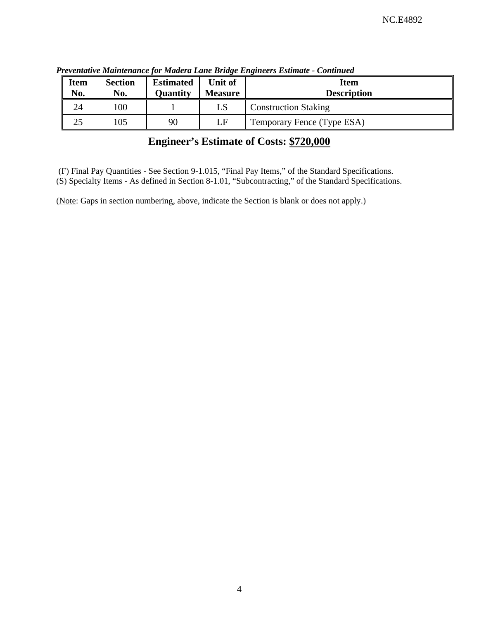| <b>Item</b><br>No. | <b>Section</b><br>No. | <b>Estimated</b><br><b>Quantity</b> | Unit of<br><b>Measure</b> | <b>Item</b><br><b>Description</b> |
|--------------------|-----------------------|-------------------------------------|---------------------------|-----------------------------------|
| 24                 | 100                   |                                     | LS                        | <b>Construction Staking</b>       |
| 25                 | 105                   | 90                                  | LF                        | Temporary Fence (Type ESA)        |

*Preventative Maintenance for Madera Lane Bridge Engineers Estimate - Continued* 

# **Engineer's Estimate of Costs: \$720,000**

(F) Final Pay Quantities - See Section 9-1.015, "Final Pay Items," of the Standard Specifications.

(S) Specialty Items - As defined in Section 8-1.01, "Subcontracting," of the Standard Specifications.

(Note: Gaps in section numbering, above, indicate the Section is blank or does not apply.)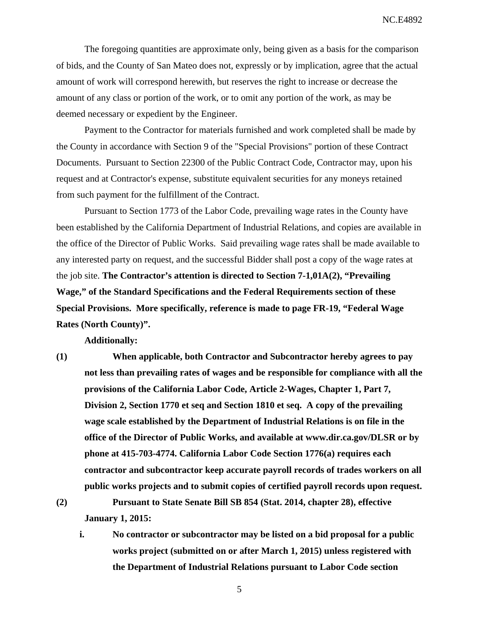NC.E4892

The foregoing quantities are approximate only, being given as a basis for the comparison of bids, and the County of San Mateo does not, expressly or by implication, agree that the actual amount of work will correspond herewith, but reserves the right to increase or decrease the amount of any class or portion of the work, or to omit any portion of the work, as may be deemed necessary or expedient by the Engineer.

Payment to the Contractor for materials furnished and work completed shall be made by the County in accordance with Section 9 of the "Special Provisions" portion of these Contract Documents. Pursuant to Section 22300 of the Public Contract Code, Contractor may, upon his request and at Contractor's expense, substitute equivalent securities for any moneys retained from such payment for the fulfillment of the Contract.

Pursuant to Section 1773 of the Labor Code, prevailing wage rates in the County have been established by the California Department of Industrial Relations, and copies are available in the office of the Director of Public Works. Said prevailing wage rates shall be made available to any interested party on request, and the successful Bidder shall post a copy of the wage rates at the job site. **The Contractor's attention is directed to Section 7-1,01A(2), "Prevailing Wage," of the Standard Specifications and the Federal Requirements section of these Special Provisions. More specifically, reference is made to page FR-19, "Federal Wage Rates (North County)".** 

**Additionally:** 

**(1) When applicable, both Contractor and Subcontractor hereby agrees to pay not less than prevailing rates of wages and be responsible for compliance with all the provisions of the California Labor Code, Article 2-Wages, Chapter 1, Part 7, Division 2, Section 1770 et seq and Section 1810 et seq. A copy of the prevailing wage scale established by the Department of Industrial Relations is on file in the office of the Director of Public Works, and available at www.dir.ca.gov/DLSR or by phone at 415-703-4774. California Labor Code Section 1776(a) requires each contractor and subcontractor keep accurate payroll records of trades workers on all public works projects and to submit copies of certified payroll records upon request.** 

**(2) Pursuant to State Senate Bill SB 854 (Stat. 2014, chapter 28), effective January 1, 2015:** 

**i. No contractor or subcontractor may be listed on a bid proposal for a public works project (submitted on or after March 1, 2015) unless registered with the Department of Industrial Relations pursuant to Labor Code section** 

5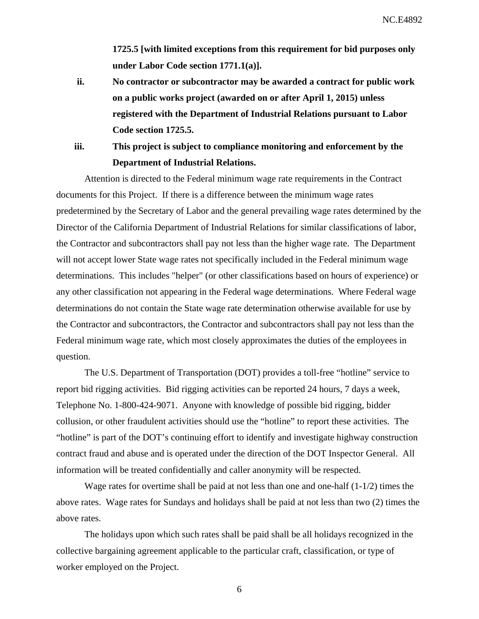**1725.5 [with limited exceptions from this requirement for bid purposes only under Labor Code section 1771.1(a)].** 

- **ii. No contractor or subcontractor may be awarded a contract for public work on a public works project (awarded on or after April 1, 2015) unless registered with the Department of Industrial Relations pursuant to Labor Code section 1725.5.**
- **iii. This project is subject to compliance monitoring and enforcement by the Department of Industrial Relations.**

Attention is directed to the Federal minimum wage rate requirements in the Contract documents for this Project. If there is a difference between the minimum wage rates predetermined by the Secretary of Labor and the general prevailing wage rates determined by the Director of the California Department of Industrial Relations for similar classifications of labor, the Contractor and subcontractors shall pay not less than the higher wage rate. The Department will not accept lower State wage rates not specifically included in the Federal minimum wage determinations. This includes "helper" (or other classifications based on hours of experience) or any other classification not appearing in the Federal wage determinations. Where Federal wage determinations do not contain the State wage rate determination otherwise available for use by the Contractor and subcontractors, the Contractor and subcontractors shall pay not less than the Federal minimum wage rate, which most closely approximates the duties of the employees in question.

The U.S. Department of Transportation (DOT) provides a toll-free "hotline" service to report bid rigging activities. Bid rigging activities can be reported 24 hours, 7 days a week, Telephone No. 1-800-424-9071. Anyone with knowledge of possible bid rigging, bidder collusion, or other fraudulent activities should use the "hotline" to report these activities. The "hotline" is part of the DOT's continuing effort to identify and investigate highway construction contract fraud and abuse and is operated under the direction of the DOT Inspector General. All information will be treated confidentially and caller anonymity will be respected.

Wage rates for overtime shall be paid at not less than one and one-half (1-1/2) times the above rates. Wage rates for Sundays and holidays shall be paid at not less than two (2) times the above rates.

The holidays upon which such rates shall be paid shall be all holidays recognized in the collective bargaining agreement applicable to the particular craft, classification, or type of worker employed on the Project.

6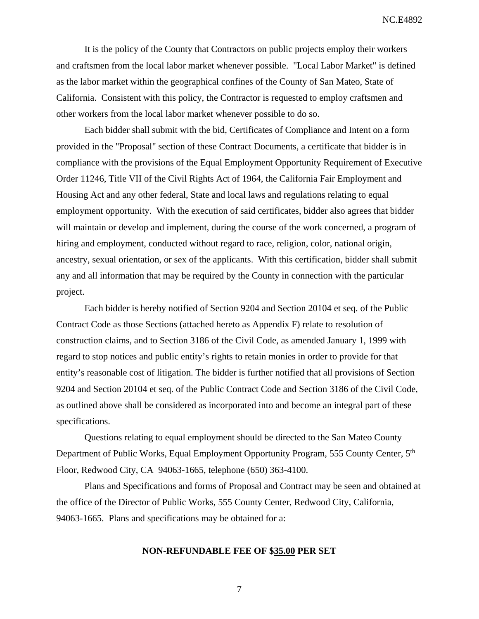It is the policy of the County that Contractors on public projects employ their workers and craftsmen from the local labor market whenever possible. "Local Labor Market" is defined as the labor market within the geographical confines of the County of San Mateo, State of California. Consistent with this policy, the Contractor is requested to employ craftsmen and other workers from the local labor market whenever possible to do so.

Each bidder shall submit with the bid, Certificates of Compliance and Intent on a form provided in the "Proposal" section of these Contract Documents, a certificate that bidder is in compliance with the provisions of the Equal Employment Opportunity Requirement of Executive Order 11246, Title VII of the Civil Rights Act of 1964, the California Fair Employment and Housing Act and any other federal, State and local laws and regulations relating to equal employment opportunity. With the execution of said certificates, bidder also agrees that bidder will maintain or develop and implement, during the course of the work concerned, a program of hiring and employment, conducted without regard to race, religion, color, national origin, ancestry, sexual orientation, or sex of the applicants. With this certification, bidder shall submit any and all information that may be required by the County in connection with the particular project.

Each bidder is hereby notified of Section 9204 and Section 20104 et seq. of the Public Contract Code as those Sections (attached hereto as Appendix F) relate to resolution of construction claims, and to Section 3186 of the Civil Code, as amended January 1, 1999 with regard to stop notices and public entity's rights to retain monies in order to provide for that entity's reasonable cost of litigation. The bidder is further notified that all provisions of Section 9204 and Section 20104 et seq. of the Public Contract Code and Section 3186 of the Civil Code, as outlined above shall be considered as incorporated into and become an integral part of these specifications.

Questions relating to equal employment should be directed to the San Mateo County Department of Public Works, Equal Employment Opportunity Program, 555 County Center, 5<sup>th</sup> Floor, Redwood City, CA 94063-1665, telephone (650) 363-4100.

Plans and Specifications and forms of Proposal and Contract may be seen and obtained at the office of the Director of Public Works, 555 County Center, Redwood City, California, 94063-1665. Plans and specifications may be obtained for a:

#### **NON-REFUNDABLE FEE OF \$35.00 PER SET**

7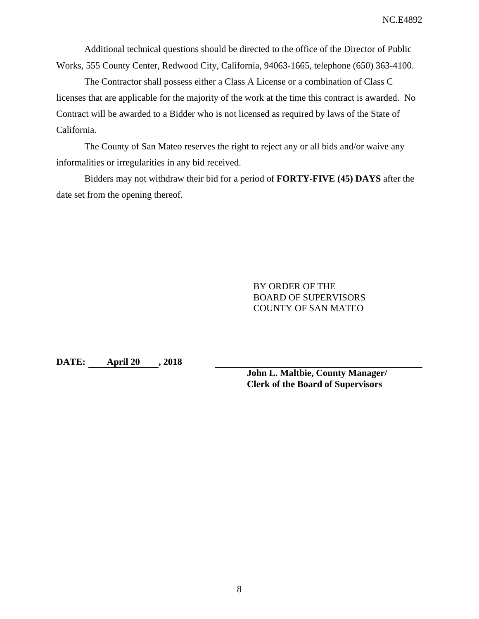Additional technical questions should be directed to the office of the Director of Public Works, 555 County Center, Redwood City, California, 94063-1665, telephone (650) 363-4100.

The Contractor shall possess either a Class A License or a combination of Class C licenses that are applicable for the majority of the work at the time this contract is awarded. No Contract will be awarded to a Bidder who is not licensed as required by laws of the State of California.

The County of San Mateo reserves the right to reject any or all bids and/or waive any informalities or irregularities in any bid received.

Bidders may not withdraw their bid for a period of **FORTY-FIVE (45) DAYS** after the date set from the opening thereof.

> BY ORDER OF THE BOARD OF SUPERVISORS COUNTY OF SAN MATEO

**DATE: April 20 , 2018** 

**John L. Maltbie, County Manager/ Clerk of the Board of Supervisors**